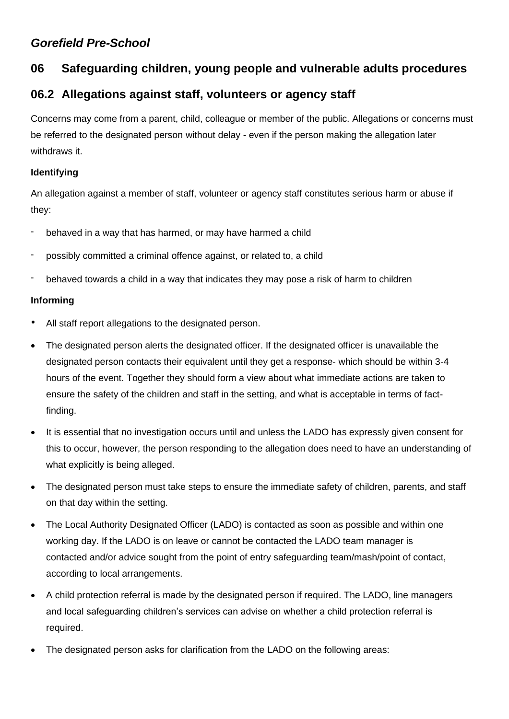## *Gorefield Pre-School*

# **06 Safeguarding children, young people and vulnerable adults procedures**

## **06.2 Allegations against staff, volunteers or agency staff**

Concerns may come from a parent, child, colleague or member of the public. Allegations or concerns must be referred to the designated person without delay - even if the person making the allegation later withdraws it.

## **Identifying**

An allegation against a member of staff, volunteer or agency staff constitutes serious harm or abuse if they:

- behaved in a way that has harmed, or may have harmed a child
- possibly committed a criminal offence against, or related to, a child
- behaved towards a child in a way that indicates they may pose a risk of harm to children

### **Informing**

- All staff report allegations to the designated person.
- The designated person alerts the designated officer. If the designated officer is unavailable the designated person contacts their equivalent until they get a response- which should be within 3-4 hours of the event. Together they should form a view about what immediate actions are taken to ensure the safety of the children and staff in the setting, and what is acceptable in terms of factfinding.
- It is essential that no investigation occurs until and unless the LADO has expressly given consent for this to occur, however, the person responding to the allegation does need to have an understanding of what explicitly is being alleged.
- The designated person must take steps to ensure the immediate safety of children, parents, and staff on that day within the setting.
- The Local Authority Designated Officer (LADO) is contacted as soon as possible and within one working day. If the LADO is on leave or cannot be contacted the LADO team manager is contacted and/or advice sought from the point of entry safeguarding team/mash/point of contact, according to local arrangements.
- A child protection referral is made by the designated person if required. The LADO, line managers and local safeguarding children's services can advise on whether a child protection referral is required.
- The designated person asks for clarification from the LADO on the following areas: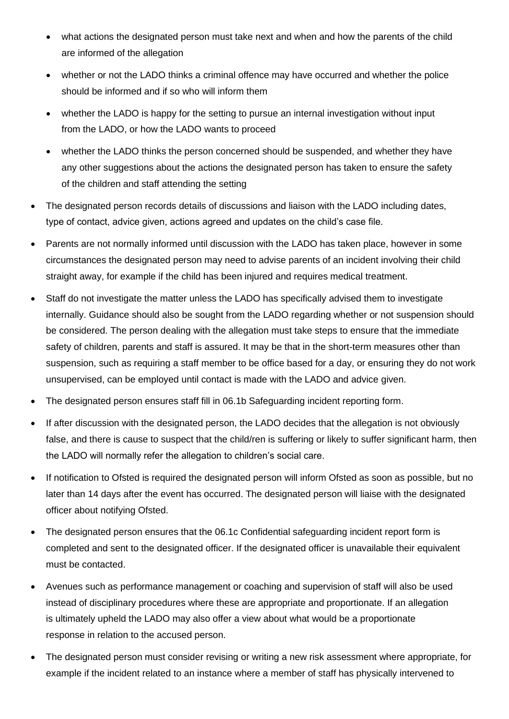- what actions the designated person must take next and when and how the parents of the child are informed of the allegation
- whether or not the LADO thinks a criminal offence may have occurred and whether the police should be informed and if so who will inform them
- whether the LADO is happy for the setting to pursue an internal investigation without input from the LADO, or how the LADO wants to proceed
- whether the LADO thinks the person concerned should be suspended, and whether they have any other suggestions about the actions the designated person has taken to ensure the safety of the children and staff attending the setting
- The designated person records details of discussions and liaison with the LADO including dates, type of contact, advice given, actions agreed and updates on the child's case file.
- Parents are not normally informed until discussion with the LADO has taken place, however in some circumstances the designated person may need to advise parents of an incident involving their child straight away, for example if the child has been injured and requires medical treatment.
- Staff do not investigate the matter unless the LADO has specifically advised them to investigate internally. Guidance should also be sought from the LADO regarding whether or not suspension should be considered. The person dealing with the allegation must take steps to ensure that the immediate safety of children, parents and staff is assured. It may be that in the short-term measures other than suspension, such as requiring a staff member to be office based for a day, or ensuring they do not work unsupervised, can be employed until contact is made with the LADO and advice given.
- The designated person ensures staff fill in 06.1b Safeguarding incident reporting form.
- If after discussion with the designated person, the LADO decides that the allegation is not obviously false, and there is cause to suspect that the child/ren is suffering or likely to suffer significant harm, then the LADO will normally refer the allegation to children's social care.
- If notification to Ofsted is required the designated person will inform Ofsted as soon as possible, but no later than 14 days after the event has occurred. The designated person will liaise with the designated officer about notifying Ofsted.
- The designated person ensures that the 06.1c Confidential safeguarding incident report form is completed and sent to the designated officer. If the designated officer is unavailable their equivalent must be contacted.
- Avenues such as performance management or coaching and supervision of staff will also be used instead of disciplinary procedures where these are appropriate and proportionate. If an allegation is ultimately upheld the LADO may also offer a view about what would be a proportionate response in relation to the accused person.
- The designated person must consider revising or writing a new risk assessment where appropriate, for example if the incident related to an instance where a member of staff has physically intervened to